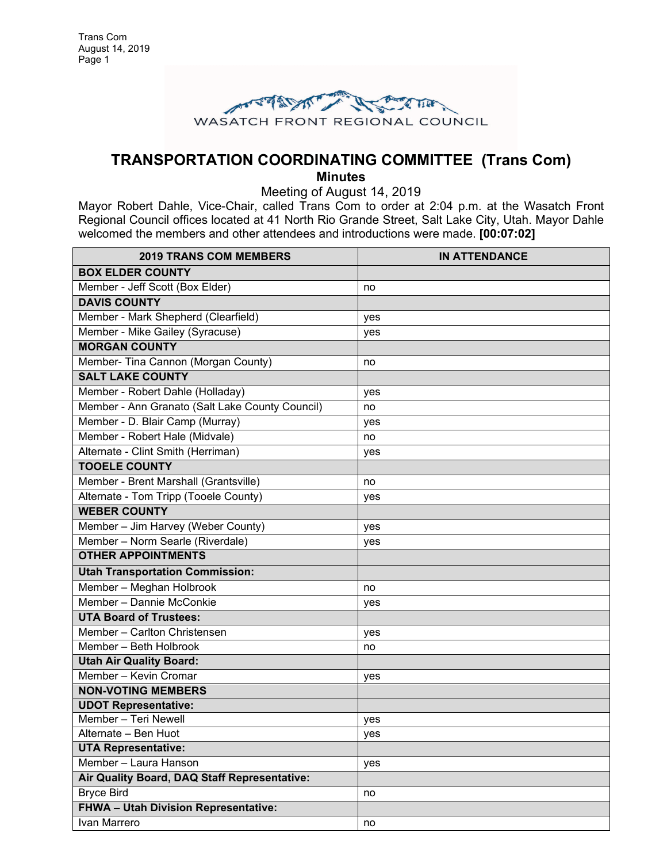

# **TRANSPORTATION COORDINATING COMMITTEE (Trans Com)**

**Minutes** Meeting of August 14, 2019

Mayor Robert Dahle, Vice-Chair, called Trans Com to order at 2:04 p.m. at the Wasatch Front Regional Council offices located at 41 North Rio Grande Street, Salt Lake City, Utah. Mayor Dahle welcomed the members and other attendees and introductions were made. **[00:07:02]**

| <b>2019 TRANS COM MEMBERS</b>                   | <b>IN ATTENDANCE</b> |
|-------------------------------------------------|----------------------|
| <b>BOX ELDER COUNTY</b>                         |                      |
| Member - Jeff Scott (Box Elder)                 | no                   |
| <b>DAVIS COUNTY</b>                             |                      |
| Member - Mark Shepherd (Clearfield)             | yes                  |
| Member - Mike Gailey (Syracuse)                 | yes                  |
| <b>MORGAN COUNTY</b>                            |                      |
| Member- Tina Cannon (Morgan County)             | no                   |
| <b>SALT LAKE COUNTY</b>                         |                      |
| Member - Robert Dahle (Holladay)                | yes                  |
| Member - Ann Granato (Salt Lake County Council) | no                   |
| Member - D. Blair Camp (Murray)                 | yes                  |
| Member - Robert Hale (Midvale)                  | no                   |
| Alternate - Clint Smith (Herriman)              | yes                  |
| <b>TOOELE COUNTY</b>                            |                      |
| Member - Brent Marshall (Grantsville)           | no                   |
| Alternate - Tom Tripp (Tooele County)           | yes                  |
| <b>WEBER COUNTY</b>                             |                      |
| Member - Jim Harvey (Weber County)              | yes                  |
| Member - Norm Searle (Riverdale)                | yes                  |
| <b>OTHER APPOINTMENTS</b>                       |                      |
| <b>Utah Transportation Commission:</b>          |                      |
| Member - Meghan Holbrook                        | no                   |
| Member - Dannie McConkie                        | yes                  |
| <b>UTA Board of Trustees:</b>                   |                      |
| Member - Carlton Christensen                    | yes                  |
| Member - Beth Holbrook                          | no                   |
| <b>Utah Air Quality Board:</b>                  |                      |
| Member - Kevin Cromar                           | yes                  |
| <b>NON-VOTING MEMBERS</b>                       |                      |
| <b>UDOT Representative:</b>                     |                      |
| Member - Teri Newell                            | yes                  |
| Alternate - Ben Huot                            | yes                  |
| <b>UTA Representative:</b>                      |                      |
| Member - Laura Hanson                           | yes                  |
| Air Quality Board, DAQ Staff Representative:    |                      |
| <b>Bryce Bird</b>                               | no                   |
| <b>FHWA - Utah Division Representative:</b>     |                      |
| Ivan Marrero                                    | no                   |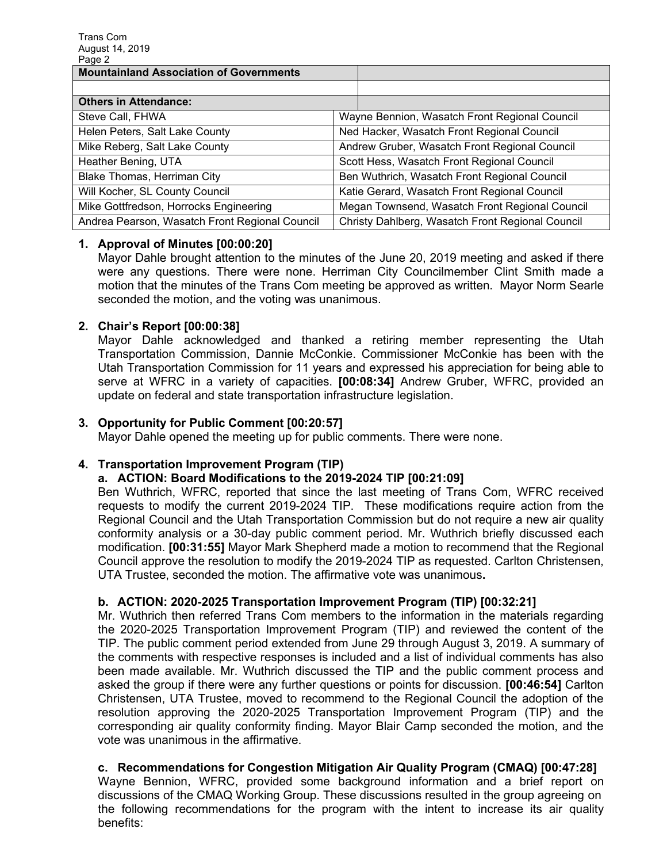| Page z                                         |                                                  |  |
|------------------------------------------------|--------------------------------------------------|--|
| <b>Mountainland Association of Governments</b> |                                                  |  |
|                                                |                                                  |  |
| <b>Others in Attendance:</b>                   |                                                  |  |
| Steve Call, FHWA                               | Wayne Bennion, Wasatch Front Regional Council    |  |
| Helen Peters, Salt Lake County                 | Ned Hacker, Wasatch Front Regional Council       |  |
| Mike Reberg, Salt Lake County                  | Andrew Gruber, Wasatch Front Regional Council    |  |
| Heather Bening, UTA                            | Scott Hess, Wasatch Front Regional Council       |  |
| Blake Thomas, Herriman City                    | Ben Wuthrich, Wasatch Front Regional Council     |  |
| Will Kocher, SL County Council                 | Katie Gerard, Wasatch Front Regional Council     |  |
| Mike Gottfredson, Horrocks Engineering         | Megan Townsend, Wasatch Front Regional Council   |  |
| Andrea Pearson, Wasatch Front Regional Council | Christy Dahlberg, Wasatch Front Regional Council |  |

## **1. Approval of Minutes [00:00:20]**

Mayor Dahle brought attention to the minutes of the June 20, 2019 meeting and asked if there were any questions. There were none. Herriman City Councilmember Clint Smith made a motion that the minutes of the Trans Com meeting be approved as written. Mayor Norm Searle seconded the motion, and the voting was unanimous.

## **2. Chair's Report [00:00:38]**

Mayor Dahle acknowledged and thanked a retiring member representing the Utah Transportation Commission, Dannie McConkie. Commissioner McConkie has been with the Utah Transportation Commission for 11 years and expressed his appreciation for being able to serve at WFRC in a variety of capacities. **[00:08:34]** Andrew Gruber, WFRC, provided an update on federal and state transportation infrastructure legislation.

## **3. Opportunity for Public Comment [00:20:57]**

Mayor Dahle opened the meeting up for public comments. There were none.

# **4. Transportation Improvement Program (TIP)**

#### **a. ACTION: Board Modifications to the 2019-2024 TIP [00:21:09]**

Ben Wuthrich, WFRC, reported that since the last meeting of Trans Com, WFRC received requests to modify the current 2019-2024 TIP. These modifications require action from the Regional Council and the Utah Transportation Commission but do not require a new air quality conformity analysis or a 30-day public comment period. Mr. Wuthrich briefly discussed each modification. **[00:31:55]** Mayor Mark Shepherd made a motion to recommend that the Regional Council approve the resolution to modify the 2019-2024 TIP as requested. Carlton Christensen, UTA Trustee, seconded the motion. The affirmative vote was unanimous**.**

#### **b. ACTION: 2020-2025 Transportation Improvement Program (TIP) [00:32:21]**

Mr. Wuthrich then referred Trans Com members to the information in the materials regarding the 2020-2025 Transportation Improvement Program (TIP) and reviewed the content of the TIP. The public comment period extended from June 29 through August 3, 2019. A summary of the comments with respective responses is included and a list of individual comments has also been made available. Mr. Wuthrich discussed the TIP and the public comment process and asked the group if there were any further questions or points for discussion. **[00:46:54]** Carlton Christensen, UTA Trustee, moved to recommend to the Regional Council the adoption of the resolution approving the 2020-2025 Transportation Improvement Program (TIP) and the corresponding air quality conformity finding. Mayor Blair Camp seconded the motion, and the vote was unanimous in the affirmative.

# **c. Recommendations for Congestion Mitigation Air Quality Program (CMAQ) [00:47:28]**

Wayne Bennion, WFRC, provided some background information and a brief report on discussions of the CMAQ Working Group. These discussions resulted in the group agreeing on the following recommendations for the program with the intent to increase its air quality benefits: